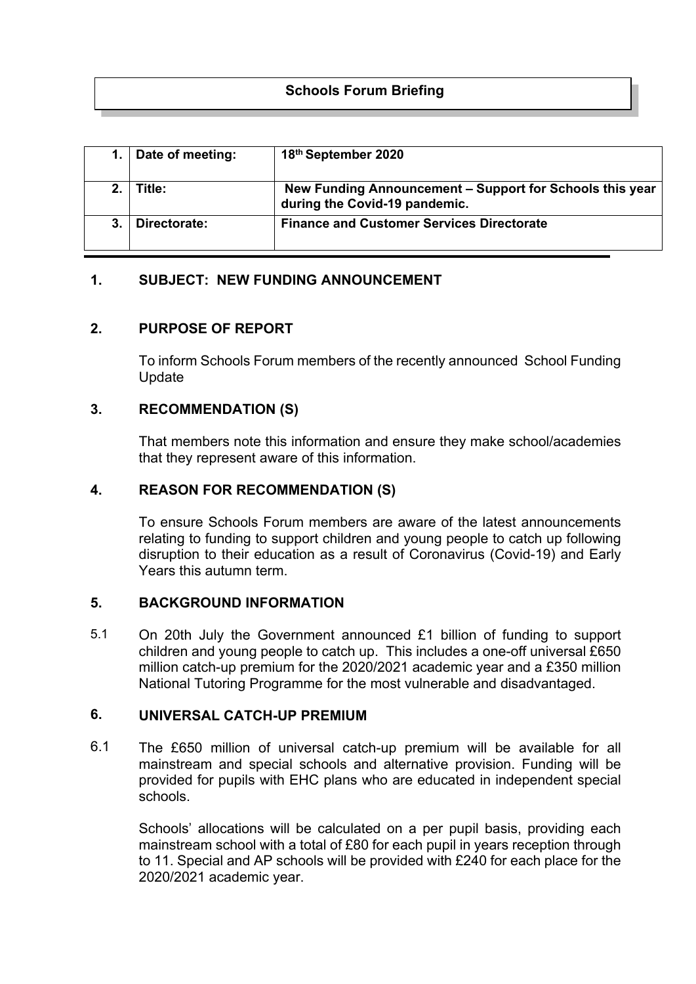# **Schools Forum Briefing**

| Date of meeting: | 18th September 2020                                                                       |
|------------------|-------------------------------------------------------------------------------------------|
| Title:           | New Funding Announcement - Support for Schools this year<br>during the Covid-19 pandemic. |
| Directorate:     | <b>Finance and Customer Services Directorate</b>                                          |

## **1. SUBJECT: NEW FUNDING ANNOUNCEMENT**

### **2. PURPOSE OF REPORT**

To inform Schools Forum members of the recently announced School Funding Update

### **3. RECOMMENDATION (S)**

That members note this information and ensure they make school/academies that they represent aware of this information.

### **4. REASON FOR RECOMMENDATION (S)**

To ensure Schools Forum members are aware of the latest announcements relating to funding to support children and young people to catch up following disruption to their education as a result of Coronavirus (Covid-19) and Early Years this autumn term.

### **5. BACKGROUND INFORMATION**

5.1 On 20th July the Government announced £1 billion of funding to support children and young people to catch up. This includes a one-off universal £650 million catch-up premium for the 2020/2021 academic year and a £350 million National Tutoring Programme for the most vulnerable and disadvantaged.

#### **6. UNIVERSAL CATCH-UP PREMIUM**

6.1 The £650 million of universal catch-up premium will be available for all mainstream and special schools and alternative provision. Funding will be provided for pupils with EHC plans who are educated in independent special schools.

Schools' allocations will be calculated on a per pupil basis, providing each mainstream school with a total of £80 for each pupil in years reception through to 11. Special and AP schools will be provided with £240 for each place for the 2020/2021 academic year.